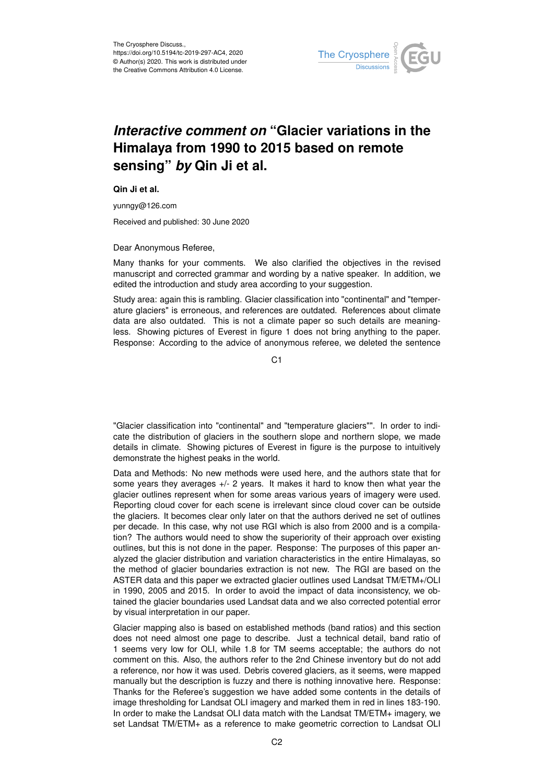

## *Interactive comment on* **"Glacier variations in the Himalaya from 1990 to 2015 based on remote sensing"** *by* **Qin Ji et al.**

**Qin Ji et al.**

yunngy@126.com

Received and published: 30 June 2020

Dear Anonymous Referee,

Many thanks for your comments. We also clarified the objectives in the revised manuscript and corrected grammar and wording by a native speaker. In addition, we edited the introduction and study area according to your suggestion.

Study area: again this is rambling. Glacier classification into "continental" and "temperature glaciers" is erroneous, and references are outdated. References about climate data are also outdated. This is not a climate paper so such details are meaningless. Showing pictures of Everest in figure 1 does not bring anything to the paper. Response: According to the advice of anonymous referee, we deleted the sentence

C<sub>1</sub>

"Glacier classification into "continental" and "temperature glaciers"". In order to indicate the distribution of glaciers in the southern slope and northern slope, we made details in climate. Showing pictures of Everest in figure is the purpose to intuitively demonstrate the highest peaks in the world.

Data and Methods: No new methods were used here, and the authors state that for some years they averages +/- 2 years. It makes it hard to know then what year the glacier outlines represent when for some areas various years of imagery were used. Reporting cloud cover for each scene is irrelevant since cloud cover can be outside the glaciers. It becomes clear only later on that the authors derived ne set of outlines per decade. In this case, why not use RGI which is also from 2000 and is a compilation? The authors would need to show the superiority of their approach over existing outlines, but this is not done in the paper. Response: The purposes of this paper analyzed the glacier distribution and variation characteristics in the entire Himalayas, so the method of glacier boundaries extraction is not new. The RGI are based on the ASTER data and this paper we extracted glacier outlines used Landsat TM/ETM+/OLI in 1990, 2005 and 2015. In order to avoid the impact of data inconsistency, we obtained the glacier boundaries used Landsat data and we also corrected potential error by visual interpretation in our paper.

Glacier mapping also is based on established methods (band ratios) and this section does not need almost one page to describe. Just a technical detail, band ratio of 1 seems very low for OLI, while 1.8 for TM seems acceptable; the authors do not comment on this. Also, the authors refer to the 2nd Chinese inventory but do not add a reference, nor how it was used. Debris covered glaciers, as it seems, were mapped manually but the description is fuzzy and there is nothing innovative here. Response: Thanks for the Referee's suggestion we have added some contents in the details of image thresholding for Landsat OLI imagery and marked them in red in lines 183-190. In order to make the Landsat OLI data match with the Landsat TM/ETM+ imagery, we set Landsat TM/ETM+ as a reference to make geometric correction to Landsat OLI